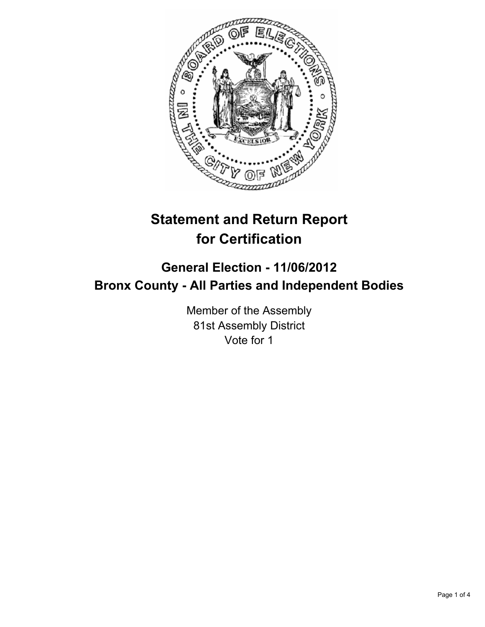

# **Statement and Return Report for Certification**

## **General Election - 11/06/2012 Bronx County - All Parties and Independent Bodies**

Member of the Assembly 81st Assembly District Vote for 1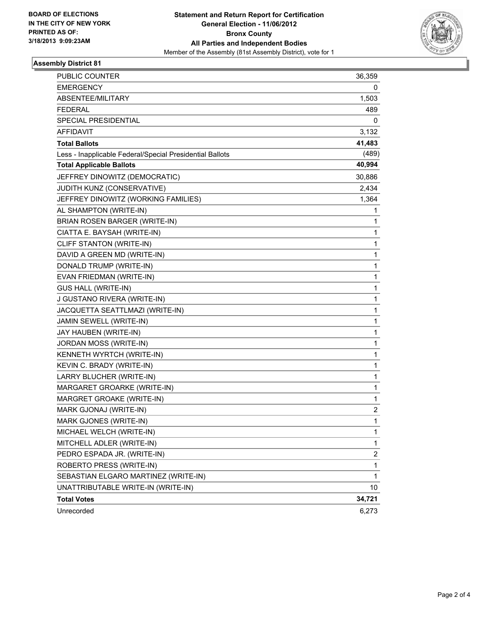

#### **Assembly District 81**

| <b>PUBLIC COUNTER</b>                                    | 36,359       |
|----------------------------------------------------------|--------------|
| <b>EMERGENCY</b>                                         | 0            |
| ABSENTEE/MILITARY                                        | 1,503        |
| FEDERAL                                                  | 489          |
| SPECIAL PRESIDENTIAL                                     | 0            |
| AFFIDAVIT                                                | 3,132        |
| <b>Total Ballots</b>                                     | 41,483       |
| Less - Inapplicable Federal/Special Presidential Ballots | (489)        |
| <b>Total Applicable Ballots</b>                          | 40,994       |
| JEFFREY DINOWITZ (DEMOCRATIC)                            | 30,886       |
| JUDITH KUNZ (CONSERVATIVE)                               | 2,434        |
| JEFFREY DINOWITZ (WORKING FAMILIES)                      | 1,364        |
| AL SHAMPTON (WRITE-IN)                                   | 1            |
| BRIAN ROSEN BARGER (WRITE-IN)                            | 1            |
| CIATTA E. BAYSAH (WRITE-IN)                              | 1            |
| CLIFF STANTON (WRITE-IN)                                 | 1            |
| DAVID A GREEN MD (WRITE-IN)                              | 1            |
| DONALD TRUMP (WRITE-IN)                                  | 1            |
| EVAN FRIEDMAN (WRITE-IN)                                 | 1            |
| <b>GUS HALL (WRITE-IN)</b>                               | $\mathbf 1$  |
| J GUSTANO RIVERA (WRITE-IN)                              | 1            |
| JACQUETTA SEATTLMAZI (WRITE-IN)                          | 1            |
| JAMIN SEWELL (WRITE-IN)                                  | 1            |
| JAY HAUBEN (WRITE-IN)                                    | 1            |
| JORDAN MOSS (WRITE-IN)                                   | 1            |
| KENNETH WYRTCH (WRITE-IN)                                | $\mathbf 1$  |
| KEVIN C. BRADY (WRITE-IN)                                | 1            |
| LARRY BLUCHER (WRITE-IN)                                 | 1            |
| MARGARET GROARKE (WRITE-IN)                              | 1            |
| MARGRET GROAKE (WRITE-IN)                                | 1            |
| MARK GJONAJ (WRITE-IN)                                   | 2            |
| MARK GJONES (WRITE-IN)                                   | 1            |
| MICHAEL WELCH (WRITE-IN)                                 | 1            |
| MITCHELL ADLER (WRITE-IN)                                | $\mathbf 1$  |
| PEDRO ESPADA JR. (WRITE-IN)                              | 2            |
| ROBERTO PRESS (WRITE-IN)                                 | 1            |
| SEBASTIAN ELGARO MARTINEZ (WRITE-IN)                     | $\mathbf{1}$ |
| UNATTRIBUTABLE WRITE-IN (WRITE-IN)                       | 10           |
| <b>Total Votes</b>                                       | 34,721       |
| Unrecorded                                               | 6,273        |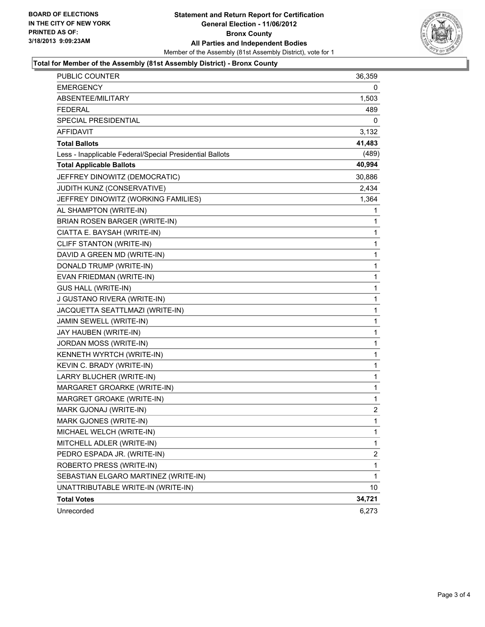

#### **Total for Member of the Assembly (81st Assembly District) - Bronx County**

| <b>PUBLIC COUNTER</b>                                    | 36,359                  |
|----------------------------------------------------------|-------------------------|
| <b>EMERGENCY</b>                                         | 0                       |
| ABSENTEE/MILITARY                                        | 1,503                   |
| FEDERAL                                                  | 489                     |
| SPECIAL PRESIDENTIAL                                     | 0                       |
| <b>AFFIDAVIT</b>                                         | 3,132                   |
| <b>Total Ballots</b>                                     | 41,483                  |
| Less - Inapplicable Federal/Special Presidential Ballots | (489)                   |
| <b>Total Applicable Ballots</b>                          | 40,994                  |
| JEFFREY DINOWITZ (DEMOCRATIC)                            | 30,886                  |
| JUDITH KUNZ (CONSERVATIVE)                               | 2,434                   |
| JEFFREY DINOWITZ (WORKING FAMILIES)                      | 1,364                   |
| AL SHAMPTON (WRITE-IN)                                   | 1                       |
| BRIAN ROSEN BARGER (WRITE-IN)                            | 1                       |
| CIATTA E. BAYSAH (WRITE-IN)                              | 1                       |
| CLIFF STANTON (WRITE-IN)                                 | 1                       |
| DAVID A GREEN MD (WRITE-IN)                              | 1                       |
| DONALD TRUMP (WRITE-IN)                                  | 1                       |
| EVAN FRIEDMAN (WRITE-IN)                                 | 1                       |
| <b>GUS HALL (WRITE-IN)</b>                               | 1                       |
| J GUSTANO RIVERA (WRITE-IN)                              | 1                       |
| JACQUETTA SEATTLMAZI (WRITE-IN)                          | 1                       |
| JAMIN SEWELL (WRITE-IN)                                  | 1                       |
| JAY HAUBEN (WRITE-IN)                                    | 1                       |
| JORDAN MOSS (WRITE-IN)                                   | 1                       |
| KENNETH WYRTCH (WRITE-IN)                                | 1                       |
| KEVIN C. BRADY (WRITE-IN)                                | 1                       |
| LARRY BLUCHER (WRITE-IN)                                 | 1                       |
| MARGARET GROARKE (WRITE-IN)                              | 1                       |
| MARGRET GROAKE (WRITE-IN)                                | 1                       |
| MARK GJONAJ (WRITE-IN)                                   | 2                       |
| MARK GJONES (WRITE-IN)                                   | 1                       |
| MICHAEL WELCH (WRITE-IN)                                 | 1                       |
| MITCHELL ADLER (WRITE-IN)                                | 1                       |
| PEDRO ESPADA JR. (WRITE-IN)                              | $\overline{\mathbf{c}}$ |
| ROBERTO PRESS (WRITE-IN)                                 | 1                       |
| SEBASTIAN ELGARO MARTINEZ (WRITE-IN)                     | 1                       |
| UNATTRIBUTABLE WRITE-IN (WRITE-IN)                       | 10                      |
| <b>Total Votes</b>                                       | 34,721                  |
| Unrecorded                                               | 6,273                   |